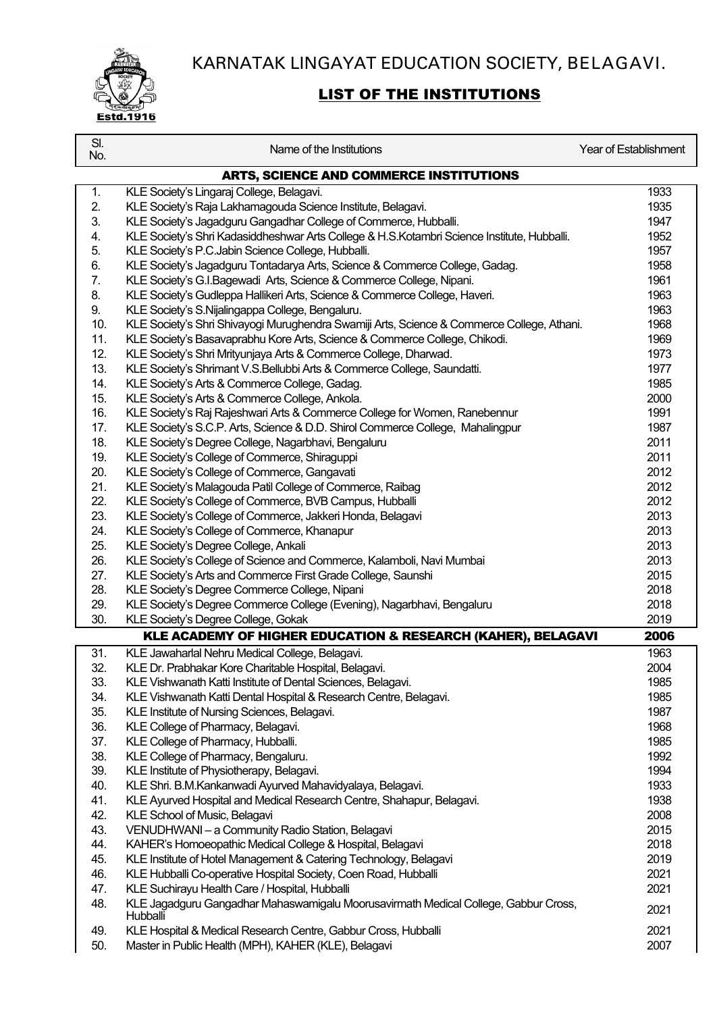KARNATAK LINGAYAT EDUCATION SOCIETY, BELAGAVI.



## LIST OF THE INSTITUTIONS

| SI.<br>No. | Name of the Institutions                                                                        | <b>Year of Establishment</b> |
|------------|-------------------------------------------------------------------------------------------------|------------------------------|
|            | <b>ARTS, SCIENCE AND COMMERCE INSTITUTIONS</b>                                                  |                              |
| 1.         | KLE Society's Lingaraj College, Belagavi.                                                       | 1933                         |
| 2.         | KLE Society's Raja Lakhamagouda Science Institute, Belagavi.                                    | 1935                         |
| 3.         | KLE Society's Jagadguru Gangadhar College of Commerce, Hubballi.                                | 1947                         |
| 4.         | KLE Society's Shri Kadasiddheshwar Arts College & H.S.Kotambri Science Institute, Hubballi.     | 1952                         |
| 5.         | KLE Society's P.C.Jabin Science College, Hubballi.                                              | 1957                         |
| 6.         | KLE Society's Jagadguru Tontadarya Arts, Science & Commerce College, Gadag.                     | 1958                         |
| 7.         | KLE Society's G.I.Bagewadi Arts, Science & Commerce College, Nipani.                            | 1961                         |
| 8.         | KLE Society's Gudleppa Hallikeri Arts, Science & Commerce College, Haveri.                      | 1963                         |
| 9.         | KLE Society's S.Nijalingappa College, Bengaluru.                                                | 1963                         |
| 10.        | KLE Society's Shri Shivayogi Murughendra Swamiji Arts, Science & Commerce College, Athani.      | 1968                         |
| 11.        | KLE Society's Basavaprabhu Kore Arts, Science & Commerce College, Chikodi.                      | 1969                         |
| 12.        | KLE Society's Shri Mrityunjaya Arts & Commerce College, Dharwad.                                | 1973                         |
| 13.        | KLE Society's Shrimant V.S.Bellubbi Arts & Commerce College, Saundatti.                         | 1977                         |
| 14.        | KLE Society's Arts & Commerce College, Gadag.                                                   | 1985                         |
| 15.        | KLE Society's Arts & Commerce College, Ankola.                                                  | 2000                         |
| 16.        | KLE Society's Raj Rajeshwari Arts & Commerce College for Women, Ranebennur                      | 1991                         |
| 17.        | KLE Society's S.C.P. Arts, Science & D.D. Shirol Commerce College, Mahalingpur                  | 1987                         |
| 18.        | KLE Society's Degree College, Nagarbhavi, Bengaluru                                             | 2011                         |
| 19.        | KLE Society's College of Commerce, Shiraguppi                                                   | 2011                         |
| 20.        | KLE Society's College of Commerce, Gangavati                                                    | 2012                         |
| 21.        | KLE Society's Malagouda Patil College of Commerce, Raibag                                       | 2012                         |
| 22.        | KLE Society's College of Commerce, BVB Campus, Hubballi                                         | 2012                         |
| 23.        | KLE Society's College of Commerce, Jakkeri Honda, Belagavi                                      | 2013                         |
| 24.        | KLE Society's College of Commerce, Khanapur                                                     | 2013                         |
| 25.        | KLE Society's Degree College, Ankali                                                            | 2013                         |
| 26.        | KLE Society's College of Science and Commerce, Kalamboli, Navi Mumbai                           | 2013                         |
| 27.        | KLE Society's Arts and Commerce First Grade College, Saunshi                                    | 2015                         |
| 28.        | KLE Society's Degree Commerce College, Nipani                                                   | 2018                         |
| 29.        | KLE Society's Degree Commerce College (Evening), Nagarbhavi, Bengaluru                          | 2018                         |
| 30.        | KLE Society's Degree College, Gokak                                                             | 2019                         |
|            | KLE ACADEMY OF HIGHER EDUCATION & RESEARCH (KAHER), BELAGAVI                                    | 2006                         |
| 31.        | KLE Jawaharlal Nehru Medical College, Belagavi.                                                 | 1963                         |
| 32.        | KLE Dr. Prabhakar Kore Charitable Hospital, Belagavi.                                           | 2004                         |
| 33.        | KLE Vishwanath Katti Institute of Dental Sciences, Belagavi.                                    | 1985                         |
| 34.        | KLE Vishwanath Katti Dental Hospital & Research Centre, Belagavi.                               | 1985                         |
| 35.        | KLE Institute of Nursing Sciences, Belagavi.                                                    | 1987                         |
| 36.        | KLE College of Pharmacy, Belagavi.                                                              | 1968                         |
| 37.        | KLE College of Pharmacy, Hubballi.                                                              | 1985                         |
| 38.        | KLE College of Pharmacy, Bengaluru.                                                             | 1992                         |
| 39.        | KLE Institute of Physiotherapy, Belagavi.                                                       | 1994                         |
| 40.        | KLE Shri. B.M.Kankanwadi Ayurved Mahavidyalaya, Belagavi.                                       | 1933                         |
| 41.        | KLE Ayurved Hospital and Medical Research Centre, Shahapur, Belagavi.                           | 1938                         |
| 42.        | KLE School of Music, Belagavi                                                                   | 2008                         |
| 43.        | VENUDHWANI - a Community Radio Station, Belagavi                                                | 2015                         |
| 44.        | KAHER's Homoeopathic Medical College & Hospital, Belagavi                                       | 2018                         |
| 45.        | KLE Institute of Hotel Management & Catering Technology, Belagavi                               | 2019                         |
| 46.        | KLE Hubballi Co-operative Hospital Society, Coen Road, Hubballi                                 | 2021                         |
| 47.        | KLE Suchirayu Health Care / Hospital, Hubballi                                                  | 2021                         |
| 48.        | KLE Jagadguru Gangadhar Mahaswamigalu Moorusavirmath Medical College, Gabbur Cross,<br>Hubballi | 2021                         |
| 49.        | KLE Hospital & Medical Research Centre, Gabbur Cross, Hubballi                                  | 2021                         |
| 50.        | Master in Public Health (MPH), KAHER (KLE), Belagavi                                            | 2007                         |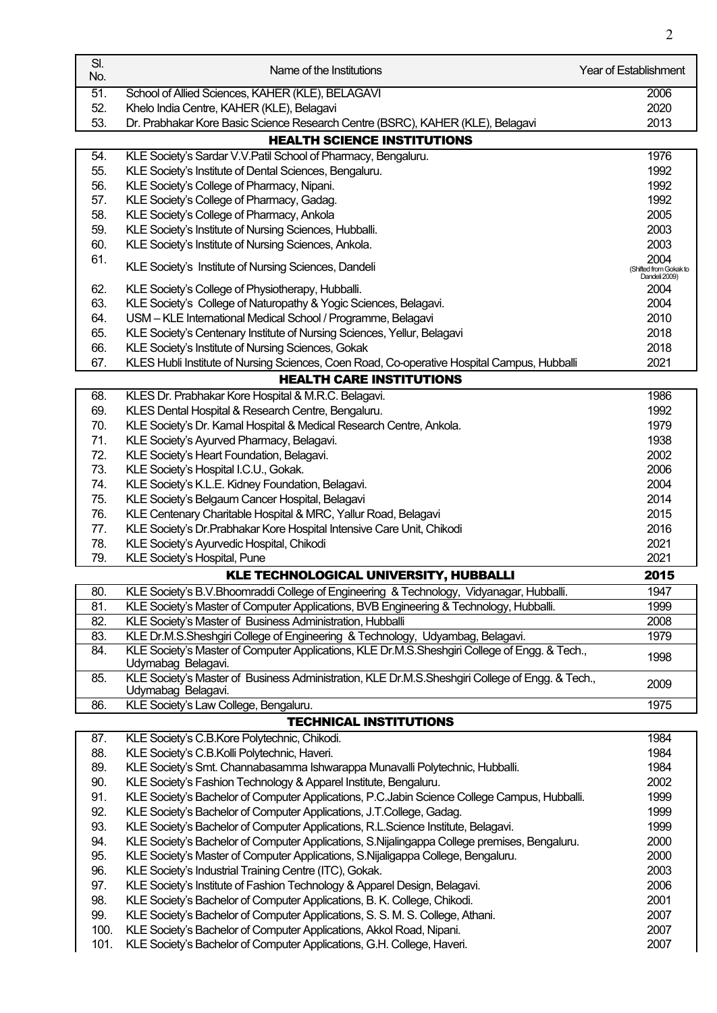| SI.<br>No. | Name of the Institutions                                                                                              | <b>Year of Establishment</b>            |
|------------|-----------------------------------------------------------------------------------------------------------------------|-----------------------------------------|
| 51.        | School of Allied Sciences, KAHER (KLE), BELAGAVI                                                                      | 2006                                    |
| 52.        | Khelo India Centre, KAHER (KLE), Belagavi                                                                             | 2020                                    |
| 53.        | Dr. Prabhakar Kore Basic Science Research Centre (BSRC), KAHER (KLE), Belagavi                                        | 2013                                    |
|            | <b>HEALTH SCIENCE INSTITUTIONS</b>                                                                                    |                                         |
| 54.        | KLE Society's Sardar V.V. Patil School of Pharmacy, Bengaluru.                                                        | 1976                                    |
| 55.        | KLE Society's Institute of Dental Sciences, Bengaluru.                                                                | 1992                                    |
| 56.        | KLE Society's College of Pharmacy, Nipani.                                                                            | 1992                                    |
| 57.        | KLE Society's College of Pharmacy, Gadag.                                                                             | 1992                                    |
| 58.        | KLE Society's College of Pharmacy, Ankola                                                                             | 2005                                    |
| 59.        | KLE Society's Institute of Nursing Sciences, Hubballi.                                                                | 2003                                    |
| 60.        | KLE Society's Institute of Nursing Sciences, Ankola.                                                                  | 2003                                    |
| 61.        |                                                                                                                       | 2004                                    |
|            | KLE Society's Institute of Nursing Sciences, Dandeli                                                                  | (Shifted from Gokak to<br>Dandeli 2009) |
| 62.        | KLE Society's College of Physiotherapy, Hubballi.                                                                     | 2004                                    |
| 63.        | KLE Society's College of Naturopathy & Yogic Sciences, Belagavi.                                                      | 2004                                    |
| 64.        | USM - KLE International Medical School / Programme, Belagavi                                                          | 2010                                    |
| 65.        | KLE Society's Centenary Institute of Nursing Sciences, Yellur, Belagavi                                               | 2018                                    |
| 66.        | KLE Society's Institute of Nursing Sciences, Gokak                                                                    | 2018                                    |
| 67.        | KLES Hubli Institute of Nursing Sciences, Coen Road, Co-operative Hospital Campus, Hubballi                           | 2021                                    |
|            | <b>HEALTH CARE INSTITUTIONS</b>                                                                                       |                                         |
| 68.        | KLES Dr. Prabhakar Kore Hospital & M.R.C. Belagavi.                                                                   | 1986                                    |
| 69.        | KLES Dental Hospital & Research Centre, Bengaluru.                                                                    | 1992                                    |
| 70.        | KLE Society's Dr. Kamal Hospital & Medical Research Centre, Ankola.                                                   | 1979                                    |
| 71.        | KLE Society's Ayurved Pharmacy, Belagavi.                                                                             | 1938                                    |
| 72.        | KLE Society's Heart Foundation, Belagavi.                                                                             | 2002                                    |
| 73.        | KLE Society's Hospital I.C.U., Gokak.                                                                                 | 2006                                    |
| 74.        | KLE Society's K.L.E. Kidney Foundation, Belagavi.                                                                     | 2004                                    |
| 75.        | KLE Society's Belgaum Cancer Hospital, Belagavi                                                                       | 2014                                    |
| 76.        | KLE Centenary Charitable Hospital & MRC, Yallur Road, Belagavi                                                        | 2015                                    |
| 77.        | KLE Society's Dr. Prabhakar Kore Hospital Intensive Care Unit, Chikodi                                                | 2016                                    |
| 78.        | KLE Society's Ayurvedic Hospital, Chikodi                                                                             | 2021                                    |
| 79.        | KLE Society's Hospital, Pune                                                                                          | 2021                                    |
|            | KLE TECHNOLOGICAL UNIVERSITY, HUBBALLI                                                                                | 2015                                    |
|            |                                                                                                                       |                                         |
| 80.        | KLE Society's B.V. Bhoomraddi College of Engineering & Technology, Vidyanagar, Hubballi.                              | 1947                                    |
| 81.        | KLE Society's Master of Computer Applications, BVB Engineering & Technology, Hubballi.                                | 1999                                    |
| 82.        | KLE Society's Master of Business Administration, Hubballi                                                             | 2008                                    |
| 83.        | KLE Dr.M.S.Sheshgiri College of Engineering & Technology, Udyambag, Belagavi.                                         | 1979                                    |
| 84.        | KLE Society's Master of Computer Applications, KLE Dr.M.S.Sheshgiri College of Engg. & Tech.,<br>Udymabag Belagavi.   | 1998                                    |
| 85.        | KLE Society's Master of Business Administration, KLE Dr.M.S.Sheshgiri College of Engg. & Tech.,<br>Udymabag Belagavi. | 2009                                    |
| 86.        | KLE Society's Law College, Bengaluru.                                                                                 | 1975                                    |
|            | <b>TECHNICAL INSTITUTIONS</b>                                                                                         |                                         |
| 87.        | KLE Society's C.B.Kore Polytechnic, Chikodi.                                                                          | 1984                                    |
| 88.        | KLE Society's C.B.Kolli Polytechnic, Haveri.                                                                          | 1984                                    |
| 89.        | KLE Society's Smt. Channabasamma Ishwarappa Munavalli Polytechnic, Hubballi.                                          | 1984                                    |
| 90.        | KLE Society's Fashion Technology & Apparel Institute, Bengaluru.                                                      | 2002                                    |
| 91.        | KLE Society's Bachelor of Computer Applications, P.C.Jabin Science College Campus, Hubballi.                          | 1999                                    |
| 92.        | KLE Society's Bachelor of Computer Applications, J.T.College, Gadag.                                                  | 1999                                    |
| 93.        | KLE Society's Bachelor of Computer Applications, R.L.Science Institute, Belagavi.                                     | 1999                                    |
| 94.        | KLE Society's Bachelor of Computer Applications, S.Nijalingappa College premises, Bengaluru.                          | 2000                                    |
| 95.        | KLE Society's Master of Computer Applications, S.Nijaligappa College, Bengaluru.                                      | 2000                                    |
| 96.        | KLE Society's Industrial Training Centre (ITC), Gokak.                                                                | 2003                                    |
| 97.        | KLE Society's Institute of Fashion Technology & Apparel Design, Belagavi.                                             | 2006                                    |
|            |                                                                                                                       |                                         |
| 98.        | KLE Society's Bachelor of Computer Applications, B. K. College, Chikodi.                                              | 2001                                    |
| 99.        | KLE Society's Bachelor of Computer Applications, S. S. M. S. College, Athani.                                         | 2007                                    |
| 100.       | KLE Society's Bachelor of Computer Applications, Akkol Road, Nipani.                                                  | 2007                                    |
| 101.       | KLE Society's Bachelor of Computer Applications, G.H. College, Haveri.                                                | 2007                                    |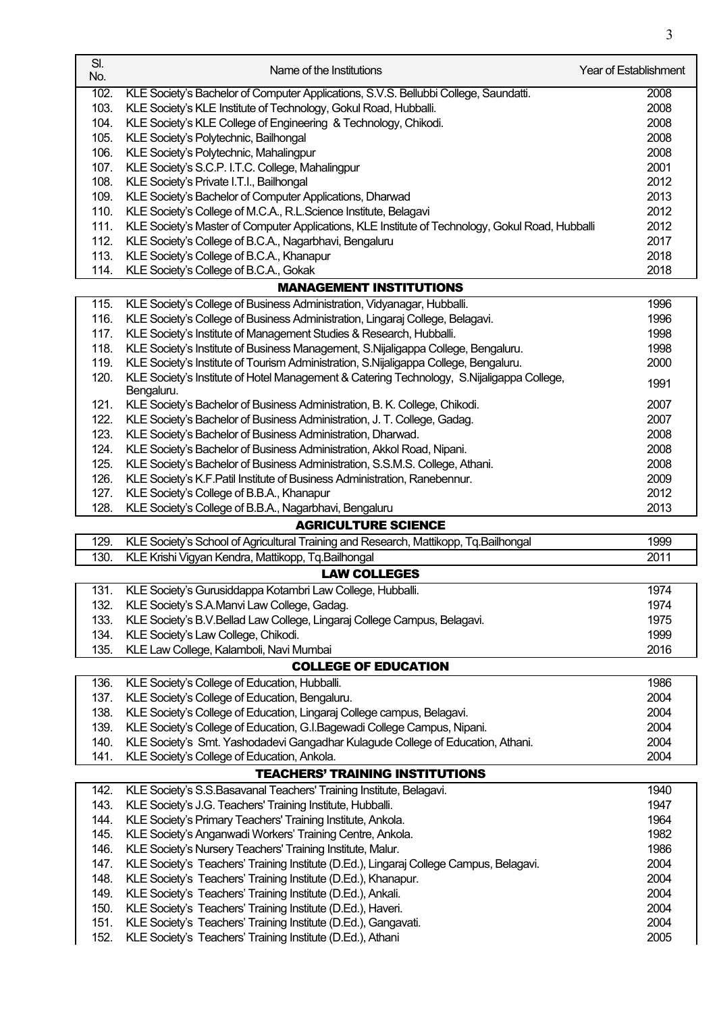| SI.<br>No. | Name of the Institutions                                                                         | <b>Year of Establishment</b> |
|------------|--------------------------------------------------------------------------------------------------|------------------------------|
| 102.       | KLE Society's Bachelor of Computer Applications, S.V.S. Bellubbi College, Saundatti.             | 2008                         |
| 103.       | KLE Society's KLE Institute of Technology, Gokul Road, Hubballi.                                 | 2008                         |
| 104.       | KLE Society's KLE College of Engineering & Technology, Chikodi.                                  | 2008                         |
| 105.       | KLE Society's Polytechnic, Bailhongal                                                            | 2008                         |
| 106.       | KLE Society's Polytechnic, Mahalingpur                                                           | 2008                         |
| 107.       | KLE Society's S.C.P. I.T.C. College, Mahalingpur                                                 | 2001                         |
| 108.       | KLE Society's Private I.T.I., Bailhongal                                                         | 2012                         |
| 109.       | KLE Society's Bachelor of Computer Applications, Dharwad                                         | 2013                         |
| 110.       | KLE Society's College of M.C.A., R.L.Science Institute, Belagavi                                 | 2012                         |
| 111.       | KLE Society's Master of Computer Applications, KLE Institute of Technology, Gokul Road, Hubballi | 2012                         |
| 112.       | KLE Society's College of B.C.A., Nagarbhavi, Bengaluru                                           | 2017                         |
| 113.       | KLE Society's College of B.C.A., Khanapur                                                        | 2018                         |
| 114.       | KLE Society's College of B.C.A., Gokak                                                           | 2018                         |
|            | <b>MANAGEMENT INSTITUTIONS</b>                                                                   |                              |
| 115.       | KLE Society's College of Business Administration, Vidyanagar, Hubballi.                          | 1996                         |
| 116.       | KLE Society's College of Business Administration, Lingaraj College, Belagavi.                    | 1996                         |
| 117.       | KLE Society's Institute of Management Studies & Research, Hubballi.                              | 1998                         |
| 118.       | KLE Society's Institute of Business Management, S.Nijaligappa College, Bengaluru.                | 1998                         |
| 119.       | KLE Society's Institute of Tourism Administration, S.Nijaligappa College, Bengaluru.             | 2000                         |
| 120.       | KLE Society's Institute of Hotel Management & Catering Technology, S.Nijaligappa College,        |                              |
|            | Bengaluru.                                                                                       | 1991                         |
| 121.       | KLE Society's Bachelor of Business Administration, B. K. College, Chikodi.                       | 2007                         |
| 122.       | KLE Society's Bachelor of Business Administration, J. T. College, Gadag.                         | 2007                         |
| 123.       | KLE Society's Bachelor of Business Administration, Dharwad.                                      | 2008                         |
| 124.       | KLE Society's Bachelor of Business Administration, Akkol Road, Nipani.                           | 2008                         |
| 125.       | KLE Society's Bachelor of Business Administration, S.S.M.S. College, Athani.                     | 2008                         |
| 126.       | KLE Society's K.F. Patil Institute of Business Administration, Ranebennur.                       | 2009                         |
| 127.       | KLE Society's College of B.B.A., Khanapur                                                        | 2012                         |
| 128.       | KLE Society's College of B.B.A., Nagarbhavi, Bengaluru                                           | 2013                         |
|            | <b>AGRICULTURE SCIENCE</b>                                                                       |                              |
| 129.       | KLE Society's School of Agricultural Training and Research, Mattikopp, Tq.Bailhongal             | 1999                         |
| 130.       | KLE Krishi Vigyan Kendra, Mattikopp, Tq.Bailhongal                                               | 2011                         |
|            | <b>LAW COLLEGES</b>                                                                              |                              |
| 131.       | KLE Society's Gurusiddappa Kotambri Law College, Hubballi.                                       | 1974                         |
| 132.       | KLE Society's S.A.Manvi Law College, Gadag.                                                      | 1974                         |
| 133.       | KLE Society's B.V.Bellad Law College, Lingaraj College Campus, Belagavi.                         | 1975                         |
| 134.       | KLE Society's Law College, Chikodi.                                                              | 1999                         |
| 135.       | KLE Law College, Kalamboli, Navi Mumbai                                                          | 2016                         |
|            | <b>COLLEGE OF EDUCATION</b>                                                                      |                              |
| 136.       | KLE Society's College of Education, Hubballi.                                                    | 1986                         |
| 137.       | KLE Society's College of Education, Bengaluru.                                                   | 2004                         |
| 138.       | KLE Society's College of Education, Lingaraj College campus, Belagavi.                           | 2004                         |
| 139.       | KLE Society's College of Education, G.I.Bagewadi College Campus, Nipani.                         | 2004                         |
| 140.       | KLE Society's Smt. Yashodadevi Gangadhar Kulagude College of Education, Athani.                  | 2004                         |
| 141.       | KLE Society's College of Education, Ankola.                                                      | 2004                         |
|            | <b>TEACHERS' TRAINING INSTITUTIONS</b>                                                           |                              |
| 142.       | KLE Society's S.S. Basavanal Teachers' Training Institute, Belagavi.                             | 1940                         |
| 143.       | KLE Society's J.G. Teachers' Training Institute, Hubballi.                                       | 1947                         |
| 144.       | KLE Society's Primary Teachers' Training Institute, Ankola.                                      | 1964                         |
| 145.       | KLE Society's Anganwadi Workers' Training Centre, Ankola.                                        | 1982                         |
| 146.       | KLE Society's Nursery Teachers' Training Institute, Malur.                                       | 1986                         |
| 147.       | KLE Society's Teachers' Training Institute (D.Ed.), Lingaraj College Campus, Belagavi.           | 2004                         |
| 148.       | KLE Society's Teachers' Training Institute (D.Ed.), Khanapur.                                    | 2004                         |
| 149.       | KLE Society's Teachers' Training Institute (D.Ed.), Ankali.                                      | 2004                         |
| 150.       | KLE Society's Teachers' Training Institute (D.Ed.), Haveri.                                      | 2004                         |
| 151.       | KLE Society's Teachers' Training Institute (D.Ed.), Gangavati.                                   | 2004                         |
| 152.       | KLE Society's Teachers' Training Institute (D.Ed.), Athani                                       | 2005                         |

3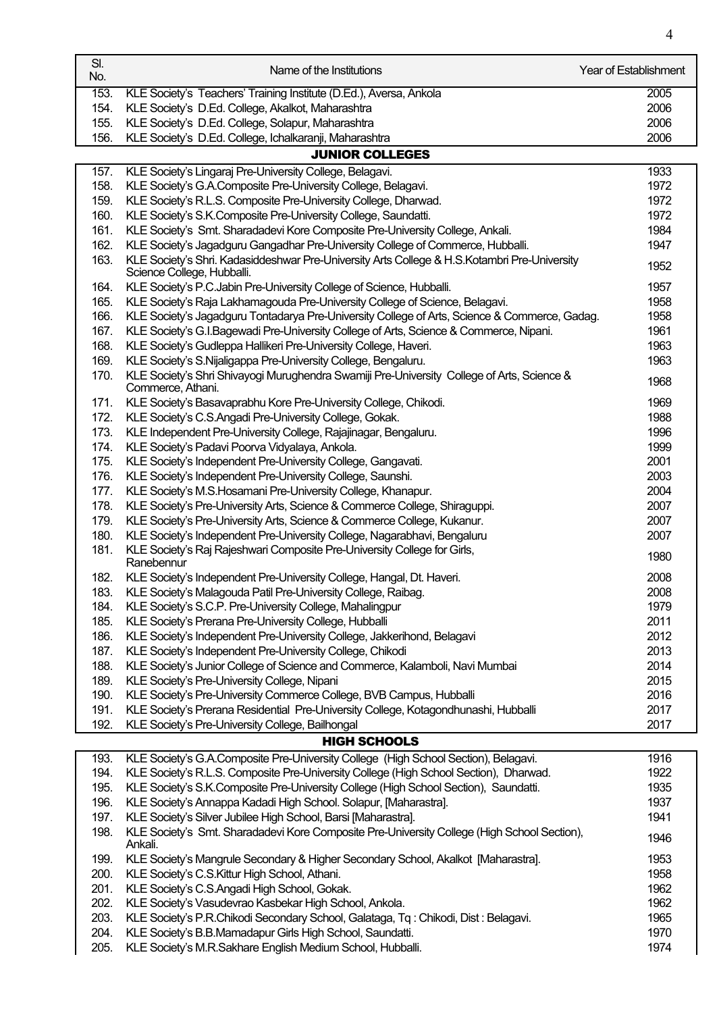| SI.<br>No. | Name of the Institutions                                                                                        | Year of Establishment |
|------------|-----------------------------------------------------------------------------------------------------------------|-----------------------|
| 153.       | KLE Society's Teachers' Training Institute (D.Ed.), Aversa, Ankola                                              | 2005                  |
| 154.       | KLE Society's D.Ed. College, Akalkot, Maharashtra                                                               | 2006                  |
| 155.       | KLE Society's D.Ed. College, Solapur, Maharashtra                                                               | 2006                  |
| 156.       | KLE Society's D.Ed. College, Ichalkaranji, Maharashtra                                                          | 2006                  |
|            | <b>JUNIOR COLLEGES</b>                                                                                          |                       |
| 157.       | KLE Society's Lingaraj Pre-University College, Belagavi.                                                        | 1933                  |
| 158.       | KLE Society's G.A.Composite Pre-University College, Belagavi.                                                   | 1972                  |
| 159.       | KLE Society's R.L.S. Composite Pre-University College, Dharwad.                                                 | 1972                  |
| 160.       | KLE Society's S.K.Composite Pre-University College, Saundatti.                                                  | 1972                  |
| 161.       | KLE Society's Smt. Sharadadevi Kore Composite Pre-University College, Ankali.                                   | 1984                  |
| 162.       | KLE Society's Jagadguru Gangadhar Pre-University College of Commerce, Hubballi.                                 | 1947                  |
| 163.       | KLE Society's Shri. Kadasiddeshwar Pre-University Arts College & H.S.Kotambri Pre-University                    | 1952                  |
|            | Science College, Hubballi.                                                                                      |                       |
| 164.       | KLE Society's P.C.Jabin Pre-University College of Science, Hubballi.                                            | 1957                  |
| 165.       | KLE Society's Raja Lakhamagouda Pre-University College of Science, Belagavi.                                    | 1958                  |
| 166.       | KLE Society's Jagadguru Tontadarya Pre-University College of Arts, Science & Commerce, Gadag.                   | 1958                  |
| 167.       | KLE Society's G.I.Bagewadi Pre-University College of Arts, Science & Commerce, Nipani.                          | 1961                  |
| 168.       | KLE Society's Gudleppa Hallikeri Pre-University College, Haveri.                                                | 1963                  |
| 169.       | KLE Society's S.Nijaligappa Pre-University College, Bengaluru.                                                  | 1963                  |
| 170.       | KLE Society's Shri Shivayogi Murughendra Swamiji Pre-University College of Arts, Science &<br>Commerce, Athani. | 1968                  |
| 171.       | KLE Society's Basavaprabhu Kore Pre-University College, Chikodi.                                                | 1969                  |
| 172.       | KLE Society's C.S.Angadi Pre-University College, Gokak.                                                         | 1988                  |
| 173.       | KLE Independent Pre-University College, Rajajinagar, Bengaluru.                                                 | 1996                  |
| 174.       | KLE Society's Padavi Poorva Vidyalaya, Ankola.                                                                  | 1999                  |
| 175.       | KLE Society's Independent Pre-University College, Gangavati.                                                    | 2001                  |
| 176.       | KLE Society's Independent Pre-University College, Saunshi.                                                      | 2003                  |
| 177.       | KLE Society's M.S.Hosamani Pre-University College, Khanapur.                                                    | 2004                  |
| 178.       | KLE Society's Pre-University Arts, Science & Commerce College, Shiraguppi.                                      | 2007                  |
| 179.       | KLE Society's Pre-University Arts, Science & Commerce College, Kukanur.                                         | 2007                  |
| 180.       | KLE Society's Independent Pre-University College, Nagarabhavi, Bengaluru                                        | 2007                  |
| 181.       | KLE Society's Raj Rajeshwari Composite Pre-University College for Girls,<br>Ranebennur                          | 1980                  |
| 182.       | KLE Society's Independent Pre-University College, Hangal, Dt. Haveri.                                           | 2008                  |
| 183.       | KLE Society's Malagouda Patil Pre-University College, Raibag.                                                   | 2008                  |
| 184.       | KLE Society's S.C.P. Pre-University College, Mahalingpur                                                        | 1979                  |
| 185.       | KLE Society's Prerana Pre-University College, Hubballi                                                          | 2011                  |
| 186.       | KLE Society's Independent Pre-University College, Jakkerihond, Belagavi                                         | 2012                  |
| 187.       | KLE Society's Independent Pre-University College, Chikodi                                                       | 2013                  |
| 188.       | KLE Society's Junior College of Science and Commerce, Kalamboli, Navi Mumbai                                    | 2014                  |
| 189.       | KLE Society's Pre-University College, Nipani                                                                    | 2015                  |
| 190.       | KLE Society's Pre-University Commerce College, BVB Campus, Hubballi                                             | 2016                  |
| 191.       | KLE Society's Prerana Residential Pre-University College, Kotagondhunashi, Hubballi                             | 2017                  |
| 192.       | KLE Society's Pre-University College, Bailhongal                                                                | 2017                  |
|            | <b>HIGH SCHOOLS</b>                                                                                             |                       |
| 193.       | KLE Society's G.A.Composite Pre-University College (High School Section), Belagavi.                             | 1916                  |
| 194.       | KLE Society's R.L.S. Composite Pre-University College (High School Section), Dharwad.                           | 1922                  |
| 195.       | KLE Society's S.K.Composite Pre-University College (High School Section), Saundatti.                            | 1935                  |
| 196.       | KLE Society's Annappa Kadadi High School. Solapur, [Maharastra].                                                | 1937                  |
| 197.       | KLE Society's Silver Jubilee High School, Barsi [Maharastra].                                                   | 1941                  |
| 198.       | KLE Society's Smt. Sharadadevi Kore Composite Pre-University College (High School Section),<br>Ankali.          | 1946                  |
| 199.       | KLE Society's Mangrule Secondary & Higher Secondary School, Akalkot [Maharastra].                               | 1953                  |
| 200.       | KLE Society's C.S. Kittur High School, Athani.                                                                  | 1958                  |
| 201.       | KLE Society's C.S.Angadi High School, Gokak.                                                                    | 1962                  |
| 202.       | KLE Society's Vasudevrao Kasbekar High School, Ankola.                                                          | 1962                  |
| 203.       | KLE Society's P.R.Chikodi Secondary School, Galataga, Tq: Chikodi, Dist: Belagavi.                              | 1965                  |
| 204.       | KLE Society's B.B.Mamadapur Girls High School, Saundatti.                                                       | 1970                  |
| 205.       | KLE Society's M.R.Sakhare English Medium School, Hubballi.                                                      | 1974                  |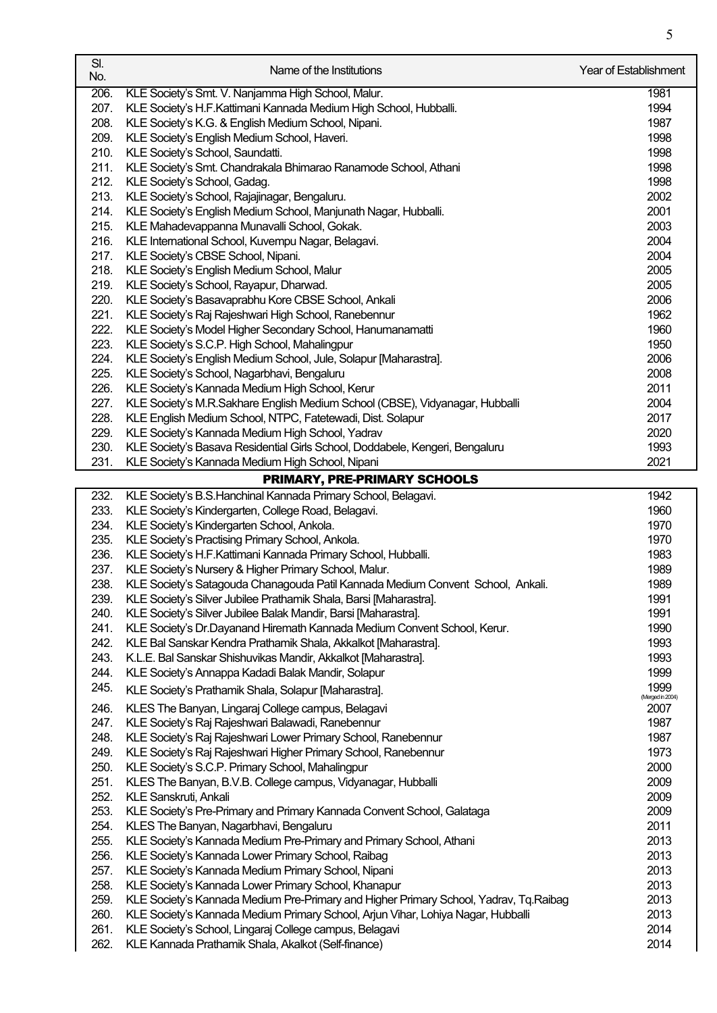| SI.<br>No.   | Name of the Institutions                                                                                                                   | <b>Year of Establishment</b> |
|--------------|--------------------------------------------------------------------------------------------------------------------------------------------|------------------------------|
| 206.         | KLE Society's Smt. V. Nanjamma High School, Malur.                                                                                         | 1981                         |
| 207.         | KLE Society's H.F.Kattimani Kannada Medium High School, Hubballi.                                                                          | 1994                         |
| 208.         | KLE Society's K.G. & English Medium School, Nipani.                                                                                        | 1987                         |
| 209.         | KLE Society's English Medium School, Haveri.                                                                                               | 1998                         |
| 210.         | KLE Society's School, Saundatti.                                                                                                           | 1998                         |
| 211.         | KLE Society's Smt. Chandrakala Bhimarao Ranamode School, Athani                                                                            | 1998                         |
| 212.         | KLE Society's School, Gadag.                                                                                                               | 1998                         |
| 213.         | KLE Society's School, Rajajinagar, Bengaluru.                                                                                              | 2002                         |
| 214.         | KLE Society's English Medium School, Manjunath Nagar, Hubballi.                                                                            | 2001                         |
| 215.         | KLE Mahadevappanna Munavalli School, Gokak.                                                                                                | 2003                         |
| 216.         | KLE International School, Kuvempu Nagar, Belagavi.                                                                                         | 2004                         |
| 217.         | KLE Society's CBSE School, Nipani.                                                                                                         | 2004                         |
| 218.         | KLE Society's English Medium School, Malur                                                                                                 | 2005                         |
| 219.         | KLE Society's School, Rayapur, Dharwad.                                                                                                    | 2005                         |
| 220.         | KLE Society's Basavaprabhu Kore CBSE School, Ankali                                                                                        | 2006                         |
| 221.         | KLE Society's Raj Rajeshwari High School, Ranebennur                                                                                       | 1962                         |
| 222.         | KLE Society's Model Higher Secondary School, Hanumanamatti                                                                                 | 1960                         |
| 223.         | KLE Society's S.C.P. High School, Mahalingpur                                                                                              | 1950                         |
| 224.         | KLE Society's English Medium School, Jule, Solapur [Maharastra].                                                                           | 2006                         |
| 225.         | KLE Society's School, Nagarbhavi, Bengaluru                                                                                                | 2008                         |
| 226.         | KLE Society's Kannada Medium High School, Kerur                                                                                            | 2011                         |
| 227.         | KLE Society's M.R.Sakhare English Medium School (CBSE), Vidyanagar, Hubballi                                                               | 2004                         |
| 228.         | KLE English Medium School, NTPC, Fatetewadi, Dist. Solapur                                                                                 | 2017                         |
| 229.         | KLE Society's Kannada Medium High School, Yadrav                                                                                           | 2020                         |
| 230.         | KLE Society's Basava Residential Girls School, Doddabele, Kengeri, Bengaluru                                                               | 1993                         |
| 231.         | KLE Society's Kannada Medium High School, Nipani                                                                                           | 2021                         |
|              | PRIMARY, PRE-PRIMARY SCHOOLS                                                                                                               |                              |
| 232.         | KLE Society's B.S.Hanchinal Kannada Primary School, Belagavi.                                                                              | 1942                         |
| 233.         | KLE Society's Kindergarten, College Road, Belagavi.                                                                                        | 1960                         |
| 234.         | KLE Society's Kindergarten School, Ankola.                                                                                                 | 1970                         |
| 235.         | KLE Society's Practising Primary School, Ankola.                                                                                           | 1970                         |
| 236.         | KLE Society's H.F.Kattimani Kannada Primary School, Hubballi.                                                                              | 1983                         |
| 237.         | KLE Society's Nursery & Higher Primary School, Malur.                                                                                      | 1989                         |
| 238.         | KLE Society's Satagouda Chanagouda Patil Kannada Medium Convent School, Ankali.                                                            | 1989                         |
| 239.<br>240. | KLE Society's Silver Jubilee Prathamik Shala, Barsi [Maharastra].                                                                          | 1991<br>1991                 |
| 241.         | KLE Society's Silver Jubilee Balak Mandir, Barsi [Maharastra].<br>KLE Society's Dr.Dayanand Hiremath Kannada Medium Convent School, Kerur. | 1990                         |
| 242.         | KLE Bal Sanskar Kendra Prathamik Shala, Akkalkot [Maharastra].                                                                             | 1993                         |
| 243.         | K.L.E. Bal Sanskar Shishuvikas Mandir, Akkalkot [Maharastra].                                                                              | 1993                         |
| 244.         | KLE Society's Annappa Kadadi Balak Mandir, Solapur                                                                                         | 1999                         |
| 245.         |                                                                                                                                            | 1999                         |
|              | KLE Society's Prathamik Shala, Solapur [Maharastra].                                                                                       | (Merged in 2004)             |
| 246.         | KLES The Banyan, Lingaraj College campus, Belagavi                                                                                         | 2007                         |
| 247.         | KLE Society's Raj Rajeshwari Balawadi, Ranebennur                                                                                          | 1987                         |
| 248.         | KLE Society's Raj Rajeshwari Lower Primary School, Ranebennur                                                                              | 1987                         |
| 249.         | KLE Society's Raj Rajeshwari Higher Primary School, Ranebennur                                                                             | 1973                         |
| 250.<br>251. | KLE Society's S.C.P. Primary School, Mahalingpur<br>KLES The Banyan, B.V.B. College campus, Vidyanagar, Hubballi                           | 2000<br>2009                 |
| 252.         | <b>KLE Sanskruti, Ankali</b>                                                                                                               | 2009                         |
| 253.         | KLE Society's Pre-Primary and Primary Kannada Convent School, Galataga                                                                     | 2009                         |
| 254.         | KLES The Banyan, Nagarbhavi, Bengaluru                                                                                                     | 2011                         |
| 255.         | KLE Society's Kannada Medium Pre-Primary and Primary School, Athani                                                                        | 2013                         |
| 256.         | KLE Society's Kannada Lower Primary School, Raibag                                                                                         | 2013                         |
| 257.         | KLE Society's Kannada Medium Primary School, Nipani                                                                                        | 2013                         |
| 258.         | KLE Society's Kannada Lower Primary School, Khanapur                                                                                       | 2013                         |
| 259.         | KLE Society's Kannada Medium Pre-Primary and Higher Primary School, Yadrav, Tq.Raibag                                                      | 2013                         |
| 260.         | KLE Society's Kannada Medium Primary School, Arjun Vihar, Lohiya Nagar, Hubballi                                                           | 2013                         |
| 261.         | KLE Society's School, Lingaraj College campus, Belagavi                                                                                    | 2014                         |
| 262.         | KLE Kannada Prathamik Shala, Akalkot (Self-finance)                                                                                        | 2014                         |
|              |                                                                                                                                            |                              |